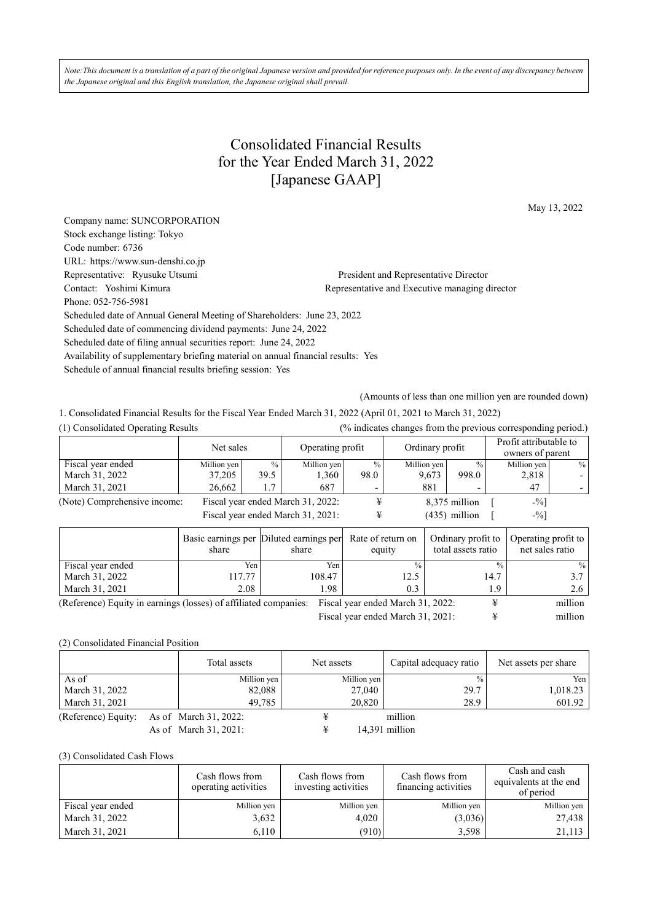*Note:This document is a translation of a part of the original Japanese version and provided for reference purposes only. In the event of any discrepancy between the Japanese original and this English translation, the Japanese original shall prevail.* 

## Consolidated Financial Results for the Year Ended March 31, 2022 [Japanese GAAP]

May 13, 2022

| Company name: SUNCORPORATION                                                     |                                                |  |  |  |  |  |
|----------------------------------------------------------------------------------|------------------------------------------------|--|--|--|--|--|
| Stock exchange listing: Tokyo                                                    |                                                |  |  |  |  |  |
| Code number: 6736                                                                |                                                |  |  |  |  |  |
| URL: https://www.sun-denshi.co.jp                                                |                                                |  |  |  |  |  |
| Representative: Ryusuke Utsumi                                                   | President and Representative Director          |  |  |  |  |  |
| Contact: Yoshimi Kimura                                                          | Representative and Executive managing director |  |  |  |  |  |
| Phone: 052-756-5981                                                              |                                                |  |  |  |  |  |
| Scheduled date of Annual General Meeting of Shareholders: June 23, 2022          |                                                |  |  |  |  |  |
| Scheduled date of commencing dividend payments: June 24, 2022                    |                                                |  |  |  |  |  |
| Scheduled date of filing annual securities report: June 24, 2022                 |                                                |  |  |  |  |  |
| Availability of supplementary briefing material on annual financial results: Yes |                                                |  |  |  |  |  |
| Schedule of annual financial results briefing session: Yes                       |                                                |  |  |  |  |  |
|                                                                                  |                                                |  |  |  |  |  |

(Amounts of less than one million yen are rounded down)

1. Consolidated Financial Results for the Fiscal Year Ended March 31, 2022 (April 01, 2021 to March 31, 2022)

| (1) Consolidated Operating Results |             |                                   |             |                  | (% indicates changes from the previous corresponding period.) |                 |             |                                            |
|------------------------------------|-------------|-----------------------------------|-------------|------------------|---------------------------------------------------------------|-----------------|-------------|--------------------------------------------|
|                                    |             | Net sales                         |             | Operating profit |                                                               | Ordinary profit |             | Profit attributable to<br>owners of parent |
| Fiscal year ended                  | Million yen | $\frac{0}{0}$                     | Million yen | $\frac{0}{0}$    | Million yen                                                   | $\frac{0}{0}$   | Million yen | $\%$                                       |
| March 31, 2022                     | 37,205      | 39.5                              | 1,360       | 98.0             | 9,673                                                         | 998.0           | 2,818       |                                            |
| March 31, 2021                     | 26.662      | 1.7                               | 687         |                  | 881                                                           |                 | 47          |                                            |
| (Note) Comprehensive income:       |             | Fiscal year ended March 31, 2022: |             |                  |                                                               | 8,375 million   | $-$ %]      |                                            |
|                                    |             | Fiscal year ended March 31, 2021: |             |                  |                                                               | $(435)$ million | $-9/0$      |                                            |
|                                    |             |                                   |             |                  |                                                               |                 |             |                                            |

|                                                                                                               | share  | Basic earnings per Diluted earnings per Rate of return on<br>share | equity | total assets ratio | Ordinary profit to   Operating profit to  <br>net sales ratio |  |
|---------------------------------------------------------------------------------------------------------------|--------|--------------------------------------------------------------------|--------|--------------------|---------------------------------------------------------------|--|
| Fiscal year ended                                                                                             | Yen    | Yen:                                                               |        | $^{0}/_{0}$        | $\frac{9}{6}$                                                 |  |
| March 31, 2022                                                                                                | 117.77 | 108.47                                                             | 12.5   | 14.7               | 37 I                                                          |  |
| March 31, 2021                                                                                                | 2.08   | l.98                                                               | 0.3    | 1.9                | 2.6                                                           |  |
| million<br>(Reference) Equity in earnings (losses) of affiliated companies: Fiscal year ended March 31, 2022: |        |                                                                    |        |                    |                                                               |  |

Fiscal year ended March 31, 2021: ¥ million

(2) Consolidated Financial Position

|                     | Total assets          | Net assets  | Capital adequacy ratio | Net assets per share |
|---------------------|-----------------------|-------------|------------------------|----------------------|
| As of               | Million yen           | Million yen | $\frac{0}{0}$          | Yen l                |
| March 31, 2022      | 82,088                | 27,040      | 29.7                   | 1,018.23             |
| March 31, 2021      | 49.785                | 20,820      | 28.9                   | 601.92               |
| (Reference) Equity: | As of March 31, 2022: |             | million                |                      |
|                     | As of March 31, 2021: |             | 14,391 million         |                      |

(3) Consolidated Cash Flows

|                   | Cash flows from<br>operating activities | Cash flows from<br>investing activities | Cash flows from<br>financing activities | Cash and cash<br>equivalents at the end<br>of period |
|-------------------|-----------------------------------------|-----------------------------------------|-----------------------------------------|------------------------------------------------------|
| Fiscal year ended | Million yen                             | Million yen                             | Million yen                             | Million yen                                          |
| March 31, 2022    | 3,632                                   | 4.020                                   | (3,036)                                 | 27,438                                               |
| March 31, 2021    | 6,110                                   | (910)                                   | 3,598                                   | 21,113                                               |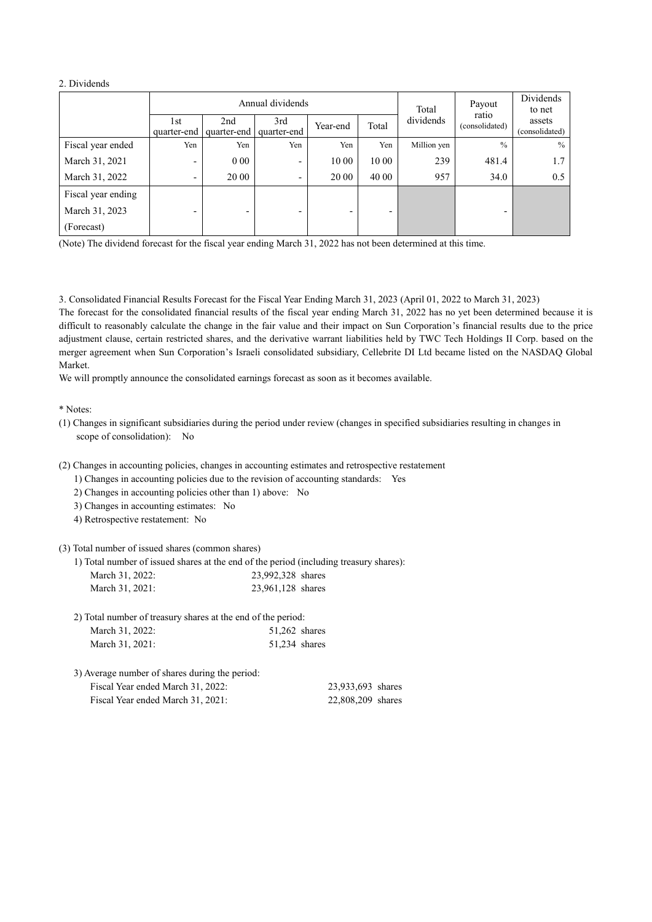## 2. Dividends

|                    |                    |                    | Annual dividends   | Total    | Payout                   | Dividends<br>to net |                         |                          |
|--------------------|--------------------|--------------------|--------------------|----------|--------------------------|---------------------|-------------------------|--------------------------|
|                    | 1st<br>quarter-end | 2nd<br>quarter-end | 3rd<br>quarter-end | Year-end | Total                    | dividends           | ratio<br>(consolidated) | assets<br>(consolidated) |
| Fiscal year ended  | Yen                | Yen                | Yen                | Yen      | Yen                      | Million yen         | $\frac{0}{0}$           | $\%$                     |
| March 31, 2021     | ٠                  | 000                | -                  | 10 00    | 10 00                    | 239                 | 481.4                   | 1.7                      |
| March 31, 2022     | ٠                  | 20 00              | -                  | 20 00    | 40 00                    | 957                 | 34.0                    | 0.5                      |
| Fiscal year ending |                    |                    |                    |          |                          |                     |                         |                          |
| March 31, 2023     |                    |                    | -                  |          | $\overline{\phantom{0}}$ |                     |                         |                          |
| (Forecast)         |                    |                    |                    |          |                          |                     |                         |                          |

(Note) The dividend forecast for the fiscal year ending March 31, 2022 has not been determined at this time.

3. Consolidated Financial Results Forecast for the Fiscal Year Ending March 31, 2023 (April 01, 2022 to March 31, 2023) The forecast for the consolidated financial results of the fiscal year ending March 31, 2022 has no yet been determined because it is difficult to reasonably calculate the change in the fair value and their impact on Sun Corporation's financial results due to the price adjustment clause, certain restricted shares, and the derivative warrant liabilities held by TWC Tech Holdings II Corp. based on the merger agreement when Sun Corporation's Israeli consolidated subsidiary, Cellebrite DI Ltd became listed on the NASDAQ Global Market.

We will promptly announce the consolidated earnings forecast as soon as it becomes available.

## \* Notes:

- (1) Changes in significant subsidiaries during the period under review (changes in specified subsidiaries resulting in changes in scope of consolidation): No
- (2) Changes in accounting policies, changes in accounting estimates and retrospective restatement
	- 1) Changes in accounting policies due to the revision of accounting standards: Yes
	- 2) Changes in accounting policies other than 1) above: No
	- 3) Changes in accounting estimates: No
	- 4) Retrospective restatement: No

(3) Total number of issued shares (common shares)

1) Total number of issued shares at the end of the period (including treasury shares):

| March 31, 2022: | 23,992,328 shares |  |
|-----------------|-------------------|--|
| March 31, 2021: | 23,961,128 shares |  |

| March 31, 2022: | $51,262$ shares |
|-----------------|-----------------|
| March 31, 2021: | 51.234 shares   |

3) Average number of shares during the period: Fiscal Year ended March 31, 2022: 23,933,693 shares Fiscal Year ended March 31, 2021: 22,808,209 shares